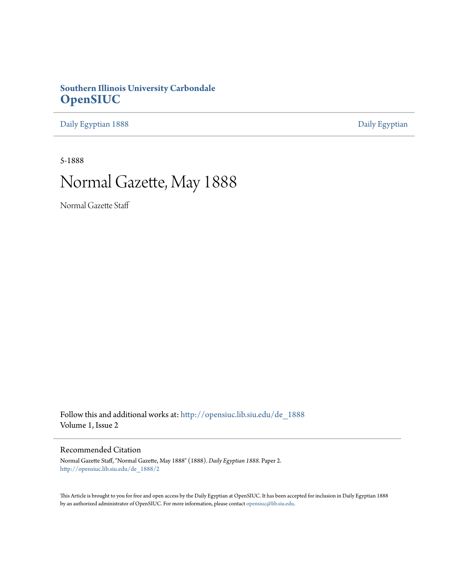### **Southern Illinois University Carbondale [OpenSIUC](http://opensiuc.lib.siu.edu?utm_source=opensiuc.lib.siu.edu%2Fde_1888%2F2&utm_medium=PDF&utm_campaign=PDFCoverPages)**

[Daily Egyptian 1888](http://opensiuc.lib.siu.edu/de_1888?utm_source=opensiuc.lib.siu.edu%2Fde_1888%2F2&utm_medium=PDF&utm_campaign=PDFCoverPages) [Daily Egyptian](http://opensiuc.lib.siu.edu/de?utm_source=opensiuc.lib.siu.edu%2Fde_1888%2F2&utm_medium=PDF&utm_campaign=PDFCoverPages)

5-1888

# Normal Gazette, May 1888

Normal Gazette Staff

Follow this and additional works at: [http://opensiuc.lib.siu.edu/de\\_1888](http://opensiuc.lib.siu.edu/de_1888?utm_source=opensiuc.lib.siu.edu%2Fde_1888%2F2&utm_medium=PDF&utm_campaign=PDFCoverPages) Volume 1, Issue 2

### Recommended Citation

Normal Gazette Staff, "Normal Gazette, May 1888" (1888). *Daily Egyptian 1888.* Paper 2. [http://opensiuc.lib.siu.edu/de\\_1888/2](http://opensiuc.lib.siu.edu/de_1888/2?utm_source=opensiuc.lib.siu.edu%2Fde_1888%2F2&utm_medium=PDF&utm_campaign=PDFCoverPages)

This Article is brought to you for free and open access by the Daily Egyptian at OpenSIUC. It has been accepted for inclusion in Daily Egyptian 1888 by an authorized administrator of OpenSIUC. For more information, please contact [opensiuc@lib.siu.edu.](mailto:opensiuc@lib.siu.edu)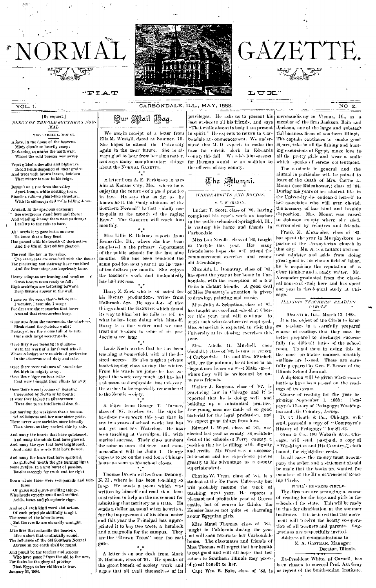

CARBONDALE, ILL., MAY, 1888.

### Qur Mail Bag.

MRS. CARRIE L. MOUNT. Above, in the dome of the heavens. Misty clouds so heavily creep; Darkening as nearer the northward Where the cold breezes now sweep.

[By request.]

ELEGY ON THE OLD SOUTHERN NOR-

MAL.

 $\overline{{\tt vol}}$ . I.

JOR MA

"FIAT

Frost gilded sidewalks and bighways. Broad fields despoiled of their grain: And trees with brown leaves, betoken That winter is now in his reign.

Beyond on a rise from the valley Apart from a white nestling town. -a giant-like structure, stai .<br>ds a ruin-With its chimneys and walls falling down.

Around, in the spacious enclosure See evergreens stand here and there: And winding among them neat pathways Lead up to the ruin so bare

Ah! needs it to gaze but a moment To know that a flery fiend<br>Has passed with his breath of destruction And the life of that edifice glenned.

The roof Hos low in the ashes The casements are scorched with the flame The plastering and stairway have vanished

And the front steps are hopelessly lame. Heavy columns are leaning and heading. < (ireat towers seem ready to fall: High archways are tottering forward. Deep fissures appear in the wall.

I gaze on the scene that's before me. I wonder, I tremble. I weep: For dear are the memories that hover Around that structureless heap.

Gone now from the easements, the windows Bleak stand the skeleton walls:<br>Destroyed are the rooms full of beauty Our much loved society halls.

Once they were teening in gladnes With the work of a far-famed school. Whose scholars were models of perfection In the observance of duty and rule.

Once there were volumes of knowledge Set high in mighty array: Once there were eurlous relics That were brought from ellnes far away

Once there were lyceums of learning

Unequaled by North or by South; If ever they lacked in allvancement Twas due to an intellectual drouth

But barring the weakness that's human. Of selfishness and her near sister pride, There never were societies more friendly Than these, as they worked side by side.

And many the hearts that have quickened, And many the minds that have glowed. And many the eyes that have brightened, And many the words that have flowed.

And many the tears that have sparkled. As gathered 'neath the gas burning light, Some genius, in a tirst burst of passion,<br>Battles strongly for truth and for right.

Down where there were compounds and mix tures

Of gases and queer-smelling things. Wise heads experimented and studied Acids, bases and phosphoric rings.

And so of each kind word and action. Of each principle skillfully taught. The scene of the labor is over.

But the results are eternally wrought. Like ilres that enkindle the heavens.

Like waters that continually sound. The influence of the old Southern Normal Abroad in the earth shall be found.

And proud be the teacher and scholar And proton on the teacher and scholar<br>Who have passed from the old to the new,<br>For theirs be the glory of proving<br>That Egypt to her children is true.<br>January 31, 1884.

We are in receipt of a letter from Ella M. Westall, dated at Sumner. Ill. She hopes to attend the University again in the near future. She is always glad to hear from her alma mater. and says many complimentary things about the NORMAL GAZETTE.

A letter from A. E. Parkinson locates him at Kansas City, Mo., where he is enjoying the returns of a good practice in law. He says that as far as he knows he is the "only alumnus of the Southern Normal" in that "bluffy metropolis at the mouth of the raging Kaw." The GAZETTE will reach him monthly.

Miss Lillie E. Delaney reports from Evansville, Ill., where she has been employed in the primary department of the public schools for the last nine months. She has been tendered the same position next year at an increase of ten dollars per month. She enjoys the teacher's work and undoubtedly has had success.

Harry Z. Zuck who is so noted for his literary productions, writes from Holbrook. Arz. He says dots of nice things about the GAZETTE which found its way to him; but he fails to tell us what he has been doing with himself. Harry is a fine writer and we may treat our readers to some of his productions ere long.

Louis Koch writes that he has been teaching at Somerfield, with all the desired success. He also taught a private book-keeping class during the winter. From his words we judge he has enjoyed the work very much and has had a pleasant and enjoyable time this year. He wishes to be especially remembered to the Zetetic society.

A lêtter from George T. Turner, class of '87, reaches us. He says he has done more work this year than in any two years of school work; but has not yet met his Waterloo. He has been teaching at Carrollton, Ill., with merited succsss. Their class numbers the same as ours - thirteen - and commencement will be June 1. George expects to go on the road for a Chicago house as soon as his school closes.

Thomas Brown writes from Deming. N. M., where he has been teaching so long. He sends a poem which was written by himself and read at a demonstration to help on the movement for admitting that territory as a state. He sends a dollar as, usual when he writes, for the improvement of his alma mater and this year the Principal has appropriated it to bay two trees, a homlock and a magnolia for the campus. They are the "Brown Trees" near the east gate.  $^{\ast}$ .

A letter is on our desk from Mark D. Harmon, class of '87. He speaks of the great benefit of society work and urges that all avail themselves of its

privileges. He asks us to present his best wishes to all his friends, and says "That while absent in body I am present in spirit." He expects to return to Carbondale at commencement. We understand that M. D. expects to make the race for circuit clerk in Edwards county this fall. We wish him success. for Harmon would be an addition to the officers of any county.

エ<sub>U</sub>x.  $\mathbf{E} =$ 

The Mumni.

### WHEREABOUTS AND DOINGS. 6. V. BUCHANAN.

Luther T. Scott, class of '86, having completed his vear's work as teacher in the public schools of Springfield, Ill., is visiting his home and friends in Carbondale.

Miss Lou Nicolls, class of '86, taught in Carlyle this year. Her many friends here hope she will attend the commencement exercises and renew old friendships.

Miss Ada L. Donaway, class of '85, has spent the year at her home in Carbondale, with the exception of a few visits to distant friends. A good deal of Miss Dunaway's attention is given to drawing, painting and music.

Miss Julia A. Sebastian, class of '87, has taught an excellent school at Chester this year, and will continue to teach such schools wherever employed. Miss Schastian is expected to visit the University at its chosing exercises this year.

Adella G. Mitchell, (nee Mrs. Goodall, ) class of '82, is now a citizen of Carbondale. Dr. and Mrs. Mitchell will, ere the autumn, be at home in an degant new house on west Main street. where they will be welcomed by numerous friends.

Walter J. Engison, class of 82. is practicing law in Chicago and it is reported that he is doing well and building up a substantial practice. Few young men are made of so good material for the legal profession, and we expect great things from him.

Edward I. Ward, class of '81, was elected last year as county subcrintendent of the schools of Perry county, a position that he is filling with dignity and credit. Mr. Ward was a successful teacher and his experience proves greatly to his advantage as a county superintendent.

Charles W. Treat, class of 84, is a student at the De Pauw University but will probably resume the work of teaching next year. He reports a pleasant and profitable year at Greencastle, but of course he thinks the Hoosier lassies not quite so charming as our Egyptian girls.

Miss Maud Thomas, class of '84, taught in California during the year but will soon return to her Carbondale home. The classmates and friends of Miss Thomas will regret that her health is not good and will all hope that her return to Southern Illinois may prove of great benefit to her.

merchandizing in Vienna, Ill., as a member of the firm Jackson, Bain and Jackson, one of the large and substant tial husiness firms of southern Illinois. The captain continues to smoke good digars, take in all the fishing and hunting excursions of Egypt, make love to all the pretty girls and wear a smile which speaks of serene contentment.

GAZETTE.

The students in general and the alumni in particular will be pained to learn of the death of Mrs. Carrie L. Mount (nee Ridenhower,) class of '84. During the years of her student life in the University she endeared herself to her associates who will ever cherish the memory of her kind and lovable disposition. Mrs. Mount was raised in Johnson county where she died. surrounded by relatives and friends.

Frank M. Alexander, class of '83, has spent the year in Murphysboro as pastor of the Presbyterian church in that city. Mn. A. is a faithful and earnest minister and aside from doing great good in his chosen field of labor, he is acquiring the reputation of a clear thinker and a ready writer. Mr. Alexander graduated from the classical course of study here and has spent cago.

### ILLINOIS TEACHERS' READING **CIRCLE**

DECATI R, ILL., March 15, 1888. It is the object of the Circle to inter-

est teachers in a carefully prepared course of reading, that they may be better prepared to discharge successfully the difficult duties of the school room. To aid them in doing this in the most profitable manner, monthly outlines are issued. These are carefully prepared by Geo. P. Brown of the Illinois School Journal.

A diploma will be given when examinations have been passed on the readings of two years.

Course of reading for the year beginning September 1, 1888:  $C<sub>1</sub>$ payre's History of Pedagogy; Washington and His Country, Irving.

D. C. Heath & Co., Chicago, will send, postpaid. a copy of "Compayre's<br>History of Pedagogy" for \$1.43.

Ginn & Co., 180 Wabash Ave., Chiago, will send, postpaid, a copy of "Washington and His Country," cloth bound, for eighty-five cents.

In all cases the money must accompany the order, and a statement should be made that the books are wanted for members of the Illinois Teachers' Reading Circle.

PUPIL'S READING CIRCLE.

The directors are arranging a course of reading for the boys and girls in the schools of the state. This will be ready in time for distribution at the summer institutes. It is believed that this movement will receive the hearty co-operation of all teachers and parents. Suggestions are respectfully invited.

Address all communications to E. A. GASTMAN, Manager, Decatur, Illinois.

Ex-President White, of Coonell, has been chosen to succeed Prof. Asa Grav Capt. Wm. B. Bain, class of '83, is as regent of the Smithsonian Institute.

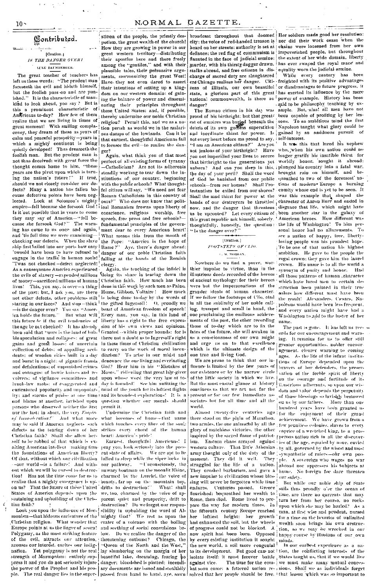### **Gontributed.** [Oration.] **IS THE DANGER OVERT**

 $\mathbf{A}$ 

**LITE BATMBERGER** 

The great teacher of teachers has left us these words: "The prudent man foreseeth the evil and hideth himself, but the foolish pass on and are punished." It is the characteristic of mankind to look ahead, you say? But is this a prominent characteristic of Antricans to-day? How few of them realize that we are living in times of great moment! With smiling complacency, they dream of these as years of calm and peaceful prospectiy-years in which a mighty continent is being quietly developed! Thus dreameth the foolish man. But the prudent man is not thus deceived: with great force the thought comes home to him, "these years are the pivot upon which is turning the nation's future." If true, should we not closely consider our defects? Many a nation has fallen because defective points have been neg-Look at Solomon's mighty lected. empire-fell because she forsook God! ical Romanism frowns upon liberty of Is it not possible that in years to come conscience, religious worship, free they may say of America-"fell be-<br>cause she forsook God?" The warning has come to us once and again, and 'tis full time we were examiningchecking our defects. When the slave the Pope: "America is the hope of ship first sailed into our ports how easy | Rome ?" 'twould have been to have refused to danger of our poble Christian faith engage in the trafile in human souls! falling at the hands of the Romish Twas not checked-defect neglected! As a consequence America experienced the evils of slavery-expended millions doing its share in tearing down the of money-sacrificed millions of human | Christian faith. How much has been lives! This, you say, is over-a thing I done in this work by such men as Paine, of the past: but, I ask you, are there. Hume, Gibbon, Voltaire! How much not other defects, other problems still staring in our faces? And stop-think I the gifted Ingersall? O, proudly we<br>  $-\text{is the danger over?}$  You say "Amer-, boast of American freedom of speech!<br>
iea holds the future." But what will, Every man, you say, in this land of this future be if the evil tendencies of liberty has a right to the free expresthe age be not checked? It has already been said that "ours is the land of bubble speculation and collapses: of great there not a doubt as to Ingersoll's right gains and great losses: of uncertain collection of debts: of appalling accidents: of wooden cities built in a day and burnt in a night: of gigantic frauds and defalcations; of unpunished crimes and outragest of howie knives and revolvers: of vigilance committees and lynch-law mobs: of exaggerated and caricatured popularity and unpopular- mind of the youth for its loftiest flights ity: and storms of praise at one time (and its broadest explorations! It is a nod blame at another, lavished upon question whether our morals should persons who deserved neither the first nor the last; in short, the very Empire of Interaction!" And what more may be said if America neglects such defects as the tearing down of her Christian faith? Shall she allow herself to be robbed of that which is exalting American intellect making tirmthe foundations of American liberty? Of that, without which our cilvilization -our world-is a failure! And without which we will be cursed to destruction! Has not the time come for us to realize that a mighty emergency is upon us? That the future of these United States of America depends upon the sustaining and upbuilding of the Christian faith?<br>  $\hfill\blacksquare$ 

Look you upon the influence of Mormonism—that hideous caricature of the  $^{\dagger}$ Christian religion. What wonder that Europe points at us the linger of scorn! Polygamy, as the most striking feature of the evil, attracts our attention, arouses our interest, excites our indignation. Yet polygamy is not the real strength of Mormonism: entirely suppress it and you do not seriously injure the power of the Prophet and his peo-

والمرادي أمصاحب معصف مديدان stition of the people, the priestly despotism, the great wealth of the church! How they are growing in power in our great western territory-distributing their apostles here and there freely among the "gentiles," and with their plausible tales, their persuasive arguments, mormonizing the great West! Have they not even dared to assert their intentions of setting up a king-

dom on our western domain: of gaining the balance of power and disseminating their principles throughout these United States: and, if possible, thereby undermine our noble Christian religion? Permit this, and we as a nation perish as would we in the malarions damps of the lowlands. Can it be that earnest, thoughtful Americans fail to foresee the evil-to realize the dan-

ger?<br>Again, what think you of that most perfect of all existing forms of tyranny -Catholicism? Are not its adherents steadily working to tear down the institutions of our country, beginning with the public schools? What thoughtful citizen will say, "We need not fear Roman Catholicism in this country of ours<sup>911</sup>. Who does not know that politspeech, free press and free schools?fundamental principles of the government dear to every American heart! What means this from the mouth of Aye, there's danger ahead:

clergy.<br>Again, the teaching of the infidel is is being done to-day by the words of sion of his own views and opinions. Granted -- within proper bounds: for is in these times of Christian civilization to carry on the work of moral incendiarism? To arise in our midst and denounce the one living and everlasting God? Hear him in his "Mistakes of Moses," ridiculing that great law-giver upon whose word the very law of today is founded! See him unfitting the permit it.

Undermine the Christian faith and what becomes of home-that uame which touches every fibre of the soul: strikes every chord of the human heart: America's pride!

Earnest, thoughtful Americans! I pray you, look seriously into the present state of affairs. We are apt to be lalled to sleep while the viper larks in our pathway. "Unconsciously, the unwary boatman on the moonlit Rhine, charmed by the Lurelei, the voice of beauty, far up on the mountain top,<br>|drifts\_to\_destruction!'' = What!\_shall What! shall we, too, charmed by the voice of apparent quiet and prosperity, drift to<br>destruction? Do we forget our responsibility in upholding the word of Almighty God? We rest as upon the crater of a volcano with the boiling and secthing of social convulsions below. Do we realize the danger of the threatening outburst? Chicago, the "Queen of the North and the West," lay slumbering on the margin of her beautiful lake, dreaming, fearing ho danger; bloodshed is plotted; incendiary documents are issued and stealthily

city; the voice of red-handed treason is heard on her streets; authority is set at defiance; the red flag of communism is flaunted in the face of judicial ermine: murder, with his thirsty dagger drawn, stalks abroad, and free citizens in discharge of sacred duty are slaughtered zens of Illinois, our own beautiful danger?

The Roman citizen in his day was proud of his birthright; but that greatest of empires was buried beneath the<br>debris of its own goddess superstition and inordinate thirst for power. Is not every heart before me proud to say,<br>"I am an American citizen?" Are you not jealous of your birthright? Have you not imperilled your lives to secure that birthright to the generations yet unborn? And can you sleep in this, plunged his country into a fatal war. the day of your peril? Shall the word of God be banished from our public schools-from our homes? Shall Protestantism be exiled from our shores? Shall the mad thirst for power at the was this example that shaped the hands of our destrovers be throttled character of Aaron Burr and ended in now, and the danger that threatens and the upproblem 2 and the comparison of the palaxy of this great republic ask himself, solicity, 'American heroes. How different was thoughtfully, honestly, the question: the life of Washington! To him per-"Is the danger over?

### [Oration.] **FOOTSTEPS OF CLIO.**  $1. M. MORGAN$

Nowhere do we find a purer, worthier impulse to virtue, than in the illustrious deeds recorded of the heroes of ancient mythology: for their heroes were but the impersonations of the grander ideals of human character. If we follow the footsteps of Clio, clad in all the sublimity of her noble calling, trumpet and seroll in hand, the one proclaiming the emilitous achievements of the past, the other recording those of to-day which are to fix the fates of the future, she will awaken in us a conscionsness of our own might and urge us on to that excellence which is the ultimate design of the one true and living God.

We are prone to think that our influence is limited by the few years of our existence or by the narrow circle of the liftle society in which we live. But the most easual glance at history convinces us that we act not for the present or for our few immediate associates but for all time and all the world.

Almost twenty-five centuries ago there stood on the plain of Marathon. two armies, the one animated by all the glory of matchless victories, the other inspired by the sacred flame of patriotism. Eastern chaos arrayed against western culture. army thought only of the duty of the sympathetic of rulers-our own peomoment. They did it well. They struggled for the life of a uation. They crushed barbarism, and gave a new impulse to civilization whose blessing will never be forgotten while time endures. Centuries passed. Greece flourished: bequeathed her wealth to Rome, then died. Rome lived to prepare the way for modern times. In the fifteenth century Europe reached<br>her loftiest height: her growth had exhausted the soil, but the wheels of progress could not be blocked. A new spirit had been born. Opposed happy course by illusions of our own new spirit may be seen that with the sought minds.<br>by every existing institution it sought minds.<br>The our earliest experience as a matrice of the to its development. But good can not tion, the conflicting interests of the isolate itself: it must forever battle States taught us, that if we would live against vice. bat soon came: a fettered uation re- sions. Shall we as individuals forget

broadcast throughout that doomed Her soldiers made good her resolution: nor did their work cease when the chains were loosened from her own impoverished people, but throughout the extent of her wide domain, liberty has ever swayed the royal mace and equality worn the judicial ermine.

 $\pm$  to a  $\pm$  of

While every century has been ere Chicago realizes her danger. Citi- freighted with its positive advantages or disadvantages to future progress, it state, a glorious part of this great has exerted its influence by the mere national commonwealth, is there no power of example. History has been said to be philosophy teaching by ex-<br>ample. But, alas! all men have not been capable of profiting by her lessons. To an ambitious mind the first Napoleon taught what glory could be gained by an assiduous pursuit of self-interest.

> It was this that lured his nephew who, when his own nation could no longer gratify his insatible thirst for<br>worldly honor, sought it abroad: brought ruin on himself, and bequeathed to two of the foremost' nations of modern Europe a burning comity whose end is yet to be seen. It disgrace that life, which might have sonal honor had no allurements. see a uation of happy, free, libertyloving people was his proudest hope. To be one of that uation his highest ambition. He gave to the people the regal crown: they gave him the laurel crown. His name is to all the world a synonym of purity and honor. Had all those patterns of human , character which have lured men to certain destruction been painted in their true colors how different must have been<br>the result! Alexanders, Casars, Napoleons would have been less frequent. and every nation might have had a Washington to add to the luster of her name.

The past is gone. It has left us ree ords for our encouragement and warning. It remains for us to offer still greater opportunities, nobler encouragement, clearer warning to coming ages. As the life of the infant institutions of Europe depended upon the<br>bravery of her defenders, the preservation of the feeble spirit of liberty on the courage and fortitude of itil.ustrious adherants, so upon our wisdom and valor depends the perpetuity of those blessings so lavishly bestowed on us by our fathers. More than one hundred years have been granted us for the enjoyment of their grand achievement. We have grown from a few penniless colonies, slaves to every caprice of a wretched king, to a prosperous nation rich in all the discoverles of the age, equaled by none, cuvied That little Athenian by all, governed by the wisest and most ple. A sovereign who wages no war abroad nor oppresses his subjects at home. No foreign foe dare threaten our safety.

But while our noble ship of State sails thus proudly o'er the ocean of time, are there no currents that may turn her from her course, no rocks upon which she may be hurled? As a man, at first wise and prudent, nursed for a time on the luxuries of unlimited wealth soon brings his own destruction, so we may be wrecked in our

The time for the com- we must make many mutual concesple. The real danger lies in the super- passed from hand to hand, aye, sown solved that her people should be free, that lesson which was so important to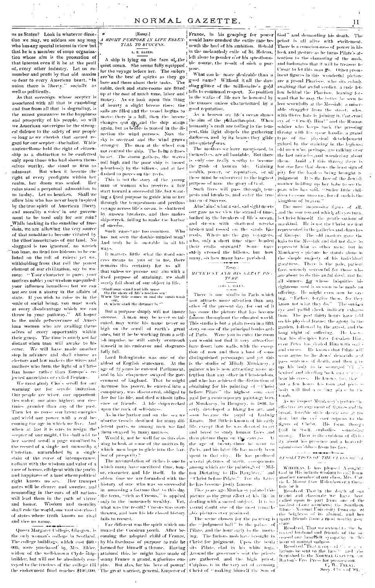us as States? Look in whatever direction we may, we seldom see any man who has any special interest in view but that he is a member of some organization whose aim is the promotion of that interest even if it be at the peril of, every other industry. Let us remember and profit by that old maxim so dear to every American heart, "In union there is liberty." socially as well as politically.

As that sovereign whose scepter is associated with all that is ennobling and free from all that is degrading, is the surest guarantee to the happiness and prosperity of his people, so will we American sovereigns he the strongest defense to the safety of our people so long as we cherish that sacred regard for our scepter -- the ballot. While ancient Rome held the right of citizenship as a distinction to be conferred only upon those who had shown themselves worthy, she stood as firm as adamant. But when it became the right of every profligate within her realm, her doom was sealed.  $\overline{\phantom{a}}$  Her rujas stand a perpetual admonition to us to-day, Let us hearken. Shall we allow him who has never been inspired by the true spirit of American liberty and morality a voice in our government to be used only for our ruin? While basking in the sunshine of freedom, we are allowing the very source of that sunshine to become vitlated by the vilest'associations of our land. No sluggard is too ignorant, no wretch too base, no liend too hideous to be enlisted on the roll of rulers: yet we. withholding from that roll the purest element of our civilization, say to women: "Your character is pure; your motives noble: your wisdom nuequaled: your influence boundless: but we can not see you a sharer in the affairs of state. If you wish to raise us in the seale of social being, you must work at every disadvantage which we can throw in your pathway." All hosor to the noble perseverance of American women who are availing themselves of every opportunity within their grasp. The time is surely not far distant when man will awake to his error. We will have made another step in advance and shall choose as electors and law makers the wives and mothers who form the light of a Chrisfian home rather than Europe's re-

jected amtrehists or exiled Fenians. We must study Cho's sendl for our warning not for servile imitation. Our people are wiser, our opportunities wider: our aims higher: our destinies grander than any of the past. Then let us rouse our latent energies and wield our power with a zeal hecoming the age in which we live. And when at last it is ours to resign, the forest ports, so among men we find<br>when at last it is ours to resign, the follows are at the dimension of seepter of our might, Clio shall add to I them swayed by many motives. her sacred seroll a page misulfied by the record of a single act nuworthy a Christian, untarnished by a single stain of the curse of intemperance. radiant with the wisdom and valor of a race of heroes, effulgent with the purity and happiness of a land where political right knows no sex. Her trannet notes will be elearer and sweeter, and history of one who was so successful noises will be viewed in the ears of all nations fun amassing a corona com-<br>resounding in the ears of all nations (the term, wrich as Crosus," is applied will lead them in the path of virtue and honor. Wisdom and morality shall rule the world, one vast sisterhood of states where truth knows no rival and vice no name.

Queen Margaret College, Glasgow, is the only woman's college in Scotland, coming the adopted child of France, The college buildings, which cost \$60.-<br>000, were purchased by Mrs. Elder, widow of the well-known Civile shipbuilder, but will not be absolutely conveyed to the trustees of the college till pire. But alas, for his love of power!

### [Essay.] A RIGHT PURPOSE IN LIFE ESSEN-TIAL TO SUCCESS.

L. E. BAIRD.

A ship is lying on the face of the quiet ocean. She seems fully equipped, for the voyage before her. The sailors for the voyage serious area. The same part of spirits as they go here and there about their tasks. cabin, deck and state-rooms are fitted up at the cost of much time, labor and money. As we look upon this thing of healty a slight breeze rises: the sails are filled and the vessel hegins to move; there is a full, then the breeze changes qua grand the ship stants rection the wind pursues. Now the rection the wind pursues. From the darkness, and by<br>sky is overcast and the wind grows [into quiete) seas. stronger. The man at the wheel can not control the ship. The helm refuses to act. The storm gathers, the waves roll high and the poor ship is tossed melentlessly by the billows, and at last the guide of homen life. Gaining dashed to pieces on the reefs.

This is but the story of the young man or woman who receives a fair start toward a successful life, but wanting a fixed purpose to guide him or her through the tempestuous and perilous. voyage across life's ocean, is shattered by unseen breakers, and thus makes ship-wreek, failing to make the harborof success.

Such cases are too common. Who has not seen the double-minded man? nas not seen our aoune-minaten man?<br>And truly he is mustable in all his [ who, only a short time since headed<br>ways.

It matters, little, what the word suc-1 cess means to you or to me, there remains this certainty for us all that unless we pursue our aim with a fixed purpose of attaining, we shall surely fall short of our object in life.

"Shall man stand and lift muse<br>"On the shore of life's resiless sea!<br>When the tide comes in and the sands wash

 $_{\rm ^{13}CO}$  , where shall the dreamer be  $^{22}$ 

But a purpose simply will not insure success. A man may be never so talented, may write his name never so high on the scroll of earth's great ones, but if he be working from a selfish impulse, he will surely overreach himself in his endeavor and disgracefully fall.

Lord Bolingbroke was one of the ablest of English statesmen. At the age of 22 years he entered Parliament, and by his eloquence swayed the government of England. That he might increase his power, he entered into a conspiracy, was discovered, obliged to flee for his life, and died without influence or friends. A life shipwrecked mion the rock of selfishness

As in the harbor and on the sea we observe vessels destined for many dif-

Would it, not be, well for us this evening to look at some of the motives By which men hope to glide into the harbor of prosperity?

The accumulation of riches is one to which many have sacrificed time, houor, character, and life itself. In the oblen time we are furnished with the in amassing a fortune that to this day only to the immensely wealthy. Yet. what was the result? Crosus was overthrown, and how his life closed history fails to record.

Far different was the spirit which animated the Corsican youth. After beby his fixedness of purpose to rule he formed for himself a throne. Having attained this, he might have made of sanay France a grand, a glorious emthe endowment fund reaches \$100,000. The great warrior, general, Emperor of  $\vert$ 

would have crushed the entire race beneath the heel of his ambition. Behold in the melancholy exile of St. Helena, left alone to ponder o'er his questionable course, the result of such a norpose.

What can be more idesirable than a<br>good name? Without it all the dazzling glitter of the millionaire's gold fails to command respect. No position in the walks of life can be honored by the masses unless characterized by a good reputation.

As a beacon on life's ocean shines the aim of the philanthropist. When humanity's craft are tolling in the tempest, this light dispels the gathering darkness, and by its heans they glide

The motives we have mentioned, in themselves, are all landable. But there is only one really worthy to become wealth, power, or reputation, or all these must be subserved to the highest nurnose of man the clory of God.

Such lives will pass through, tempests and breakers, and enter the truehaven of Success.

Alas! alas! what a sad, sad sight moots our gaze as we view the strand of time. bathed by the breakers of life's ocean, and strewn with shattered wrecks broken and tossed on the sands like reeds. Where are the gay voyagers, safely crossed the billows, but how many, oh how many have perished.

There is one studio in Paris which now affracts more attention than any other of the present day, for out of it has come the picture that has become famous throughout the educated world. This studio is but a plain room in a fifth story on one of the principal bonlevards of Paris Were you to enter the room you would not find it very attractive; have floor: bare walls, with the exemtion of now and then a bust of some distinguished personager and yet this is the studio of Mihaly Munkaesy, a nainter who is now attracting more attention than any other in Christendom. and who has achieved the distinction of obtaining for his painting of "Christ before Pilate" the highest sum ever paid for a contemporary painting; born at Munkaesy, in Hungary, in 1816, he early developed a liking for art, and soon because the pupil of Ludwig Knans. But little is known of his cathy life, except that he was devoted to art and loved to study human faces and then picture them on the canvass.  $\Lambda$ the age of twenty-three he went to Paris, and his later life has mostly been spent in that city. He has produced several pictures of merit, considenous among which are the paintings of "Milton Dictating to His Daughter." and "Christ before Pilate." For the Litter he has beenine justly famous.

Five years ago Munkaesy painted this picture as the great effort of his life in dealing with a sacred subject. It is beyound doubt one of the most remarkable pictures ever produced.

The scene chosen for the painting is the "judgment hall" in the palace of Pilate, and the hour early in the morn-<br>ing. The furious mob have brought in ing. The furtous mobiliave brought in preased obsolution that the<br>papathy in this Christ for judgment. Upon the benia ploon of muthal sadness<br>sits. Pilate, elad, in his white togal (ERS) Resolved. That a copy of the entit Around the governor's seat the priests Around the groven as the contract part in the function of the set and the high prices. The prices for provident and the highest is in the very act of accusing  $\frac{1}{2}$  and  $\frac{1}{2}$  and  $\frac{1}{2}$  and  $\frac{1}{2}$  and  $\frac{1}{$ 

France, in his grasping for power God" and demanding his death.  $Tht$ priest is all alive with excitement. There is a consciousness of power in his look and gesture as he turns Pilate's attention to the clamaring of the moband insinuates that it will be treason to Casar to let this man go. Other prominent figures in this wonderful picture are a proud Pharisce, who sits calluly awaiting that awful verdict: a rude follow behind the Pharisee, leaning forward that he may the better be seen to leer scornfully at the Messiah: a miserable straggler from the street, who with fibered hate is joining in that cruel<br>ery of "Cruelfy Him!" and the Roman soldier who keeps back the pressing throng with his spear handle, a grand type of the physical developement gained by the maining in the legions: old men who, pechaps, are talking over the last miracles and wondering about them. Amid all this throug there is but one face that shows the least sign of pity for the hapless being brought to judgment. It is the face of the Jewish mother holding up her babe to see the plan who has said, "Suffer little children to come unio me, for of such is the kingdom of beaven."

 $11$ 

The most impressive figure of all. and the one toward which all eves turn. is Christ himself - the gentle saviour of mankind. He is not the Christ we find represented in the galleries and churches of Europe. The old masters gave the halo to the Messiah and did not dare to represent him as other men; but in Mankaesy's incture he stands alone in the simple majesty of his individual greatures. There is the pale, patient face, severely sorrowful for those who are about to do this awful doed, and for all sinners, for whose iniquities his righteous soul is so soon to be made an offering. He might even now be saying. "Father, forgive them, for they know not what they do." The simicon eye and pallid check indicate exhaustion. The past thirty hours have told on his physical framer the agony in the garden, followed by the arrest, and the long night of suffering. He knowthat his disciples have forsaken Hineven Peter has dealed Him with outlet and curses. He knows that Pilate will soon agree to the dews' demands and pass sentence of death, and then give up his body to be seourged hill inheuised and identing back can sereshear lifs eross. He knows, too, that but a few lones lifs form and pier- si body will find a reting place in the tomb

As we inspect Munkacsy's pacture the effective attaing ement of demosinal the broad, foreible style dazzlo ano at the first, but the cycloser returns to the figure of Christ. His form, though fmil in itself, embodies, sometelies .<br>strong. There is the emblem of divirity about his presence and a heavoily submission shines from his face.

### RESOLUTIONS OF THE CLASS OF SA

WHEREAS, It has pleased Alonghty<br>God in His infinite wisdom to call home another member of our class, Mrs. Cartie L. Monut (nee Ridenhower) the  $\mathbf{i}$ for

ge ac n<br>Resolved That in the death of san friend and classmate we have been<br>called opon to part from one of the .<br>Tu modest of our nembers: the Southern Tilino's Normal University from one of From suggeries of the attinuit, and I<br>painty friends from a most worthy as

Resolved. That we extend to the be reaved husband and friends of the

Resolved. That a copy of the contractions he sent to the family and also<br>furnished to the Nongran GAZETE for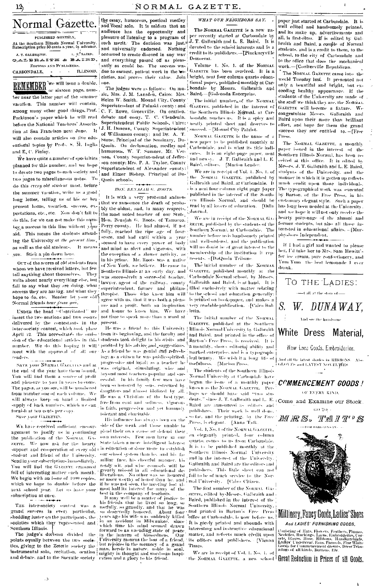

 $12<sub>2</sub>$ 

REMEMBER we will issue a double. ber near the latter part of the summer vacation. This number will contain, among many other good things, Prof. Parkinson's paper which he will read before the National Teachers' Association at San Francisco next June. It J. H. Duncan, County Superintendent will also contain articles on five edueational topies by Profs. S. M. Inglis Quoin. On declamation, medley and and E. C. Finley.

We have quite a moment of the soul county: Mrs. P. A. Thylor, County<br>planned for this number, and we hope | Superintendent of Alexander county:<br>Policides of Dun to devote two pages to each society and | and Elmer Bishop, Principal of Dutwo pages to miscellaneous notes. To Quoin schools. do this every old student must, before the summer vacation, write us a good long letter, telling us of his or her present home, vocation, success, expectations, etc., etc. Now don't fail to the most noted teacher of our State. do this, for we can not make this num- | Hon. Benajah G. Roots, of Tamaroa, beg a success in this line without your Perry county. He had almost, if not aid. This means the students attend- fully, reached the ripe age of fouring the University at the present time, seems and had until within a ing the University at the present time, seemed to have every power of body as well as the old students. It means and mind as abert and vigorous, with you. Stick a pin down here.

OUT of the scores of old students from whom we have received letters, but few tell anything about themselves. They write about nearly everything else, but fail to say what they are doing, what is uperintendent, farmer and philan- filled exclusively with matter relating an show only are not ug, and what they is a structure country and philant-<br>hope to do, etc. Reader let your old thropist. Those who knew him will Normal friends hear from qun.

UNDER the head "Contributed" we insert the two orations and two essays delivered by the contestants in the inter-society contest, which took place April 12. This necessitates the onds. sion of the educational articles in this <sup>i</sup>students took delight in his visits and number. We do this hoping it will profited by his advice and suggestions. meet with the approval of all ourreaders.

SAVE your NORMAL GAZETTES and at the end of the year have them hound. You will find them a source of profit and pleasure to you in years to come. The pages, as you see, will be numbered from number one of each volume. We will always keep on hand a limited supply of back numbers, which we can furnish at ten cents per copy Save your GAZETTES.

WE have received sufficient encouragement to justify us in continuing the publication of the Nouvell GyzETTE. We now ask for the hearty support and co-operation of every old student and friend of the University. Send in your subscriptions inmediately, You will find the GAZETTE cranimed full of interesting matter each month. We begin with an issue of 1000 copies, which we hope to double before the next school year. Let us have your subscription at once.

THE inter-society contest was a grand success in every particular. shedding luster on the participants, the societies which they represented and

 $\cdot$ 

the essay, humorous, poetical medley and vocal solo. It is seldom that an audience has the opportunity and pleasure of listening to a program of such merit. The decision was just. and universally endorsed. Nothing occurred to create discord in any way and everything passed off as pleas-<br>antly as could be. The success was due to earnest, patient work in the to $one$ 

Helen W. Smith, Mound City, County Superintendent of Pulaski county; and C. F. Rowe, Greenville. On oration.<br>debate and essay, T. C. Clendenin. Superintendent Public Schools, Cairo: meatly printed sheet and descrives to of Williamson county: and Dr. A. T. Stone, Principal of the Seminary, Duhumorous, W. T. Sumner, Mt. We have quite a number of specialtics : non. County Superintendent of Jeffer-

### HON. BENAJAH G. ROOTS.

It is with a very protound sadness that we announce the death of probably the oldest, and, in many respects, vear the exception of a slower activity, as in his prime. Mr. Roots was a native of New York, we believe. He came to Southern Illinois at an early day, and was successively a successful teacher. lawyer agent of the railway, county agree with us, that it was both a pleasure and a profit, both an inspiration. and honor to know him. We have lettin. not time to speak more than a word at

present. He was a friend to this University from its beginning, and the faculty and As a friend be was genial and refreshing; as a citizen he was public-spirited. progressive and loyal; as a teacher he was original, stimulating, wise and beyond most teachers popular and suecessful. In his family few men have been so honored by sons, esteemed by daughters and almost idelized by all. He was a Christian of the hest type free from eant and softness, vigorous in faith, progressive and yet humanly tolerant and charitable.

His influence has always been on the side of the weak and those unable to plead their own cause or defend their, own interests. Few men have in our State taken a more intelligent interest in education or done more to establish our school system than he, and his familiar face, his cheerful manner, his mean and with and wise connels will be<br>greatly missed in all educational de-<br>liberations. No other was so house<br>red or more worthy of honor than le, and the rate of the present<br>of the heat in this intersect for many of the

most half its interest for many of the most in the company of teachers.<br>It may well be a mattler of justice to his friends that he lived so long, so<br>usefully, so grandly, and that he was<br>so deservedly bonored. About four<br>y Southern Hilnois. For the law included the in the law including state of peace. The judge's decision divided the in the heaven of blessedness. Our points equally between the two societ. University mounts the base of a fri

### WHAT OUR NEIGHBORS SAY.

The NORMAL GAZETTE is a new paper recently started at Carbondale by J. T. Galbraith and L. E. Baird. It is devoted to the school interests and is a eredit to its publishers. -- [Pinekneyville Democrat

Volume 1. No. 1. of the NORMAL GAZETTE has been received. It is a cieties, and proves their value. Join mright, neat four column quarto educational paper, published monthly at Car-The judges were as follows: On mu-1 bondale by Messrs. Galbraith and<br>sic, Mrs. J. M. Lansden, Cairo: Mrs. Baird. - [Goleonda Enterprise.

The initial number of the Nouman GAZETTE. published in the interest of the Southern Illinois Normal, at Carbondate, reaches us. It is a spicy and succeed. - [Mound City Patriot.

NORMAL GAZETTE is the name of a new paper to be published monthly at Carbondale, and is what its title indieates. It is an eight-page paper, neat and newsy. J. T. Galbraith and L. E. Baird, editors. [Marion Leader

We are in receipt of Vol. 4, No. 1, of the NORMAL GAZETTE, published by Galbraith and Baird, at Carbondale. It is a neat four column eight page paper published in the interest of the Southern Illinois Normal, and should be read by all lovers of relucation. [Odin Journal.

We are in receipt of the NORMAL GA-ZETTE, published by the students of the Southern Normal, at Carbondale. The number before us is handsomely printed and well-ordered, and the publication will no doubt be of great interest to the membership of the institution it represents. « [DaQuoin Tribune.

The initial number of the Nouval. GAZETTE, published monthly at the Carbondale Normal school, by Messrs Galbraith and Baird, is at hand. It is to the school and education generally: is printed on book-paper, and makes a very readable publication. - [Cairo Bul-

The initial number of the NORWAL GAZETTE, published at the Southern Illinois Normal University by Galbraith and Baird, and printed in the office of Barton's Free Press, is received. It is a monthly, shows editorial ability and marked enterprise, and is a typograph-

The students of the Southern Illinois Normal University at Carbondale have begun the issue of a monthly paper. known as the NOROLL GAZETTE. Per-Baird are announced as editors and publishers. Their work is well-done. o far, and the printing. by the Free : Press, is elegant. [Anna Tatk.

Vol. 1, No. 1 of the NORWAL GAZETTE. an elegantly printed, four column quarto, comos to us from Carbondale. It is to be published monthly at the Southern Illinois Normal University and in the interest of the University Galbraith and Baird are the editors and publishers. This little sheet can not fail to be of much service to the Norunal University. [Cairo Citizen.

The first number of the NORMAL GA-ZETTE, edited by Messrs, Galbraith and Baird, published in the interest of the Southern Illinois Normal University. and printed in Barton's Free Press office at Carbondale, is now before us. It is nicely printed and abounds with interesting and instructive educational matter, and reflects much credit upon its editors and publishers. [Vienna Times.

We are in receipt of Vol. 1, No. 4, of the NORMAL GAZETTE, a new school | Great Reduction in Prices of all Goods.

paper just started at Carbondale. It is well edited and handsomely printed. and its make up, advertisements and<br>all, is first-class. If is edited by Galbraith and Baird, a couple of Normal students, and is a credit to them, to the school, to the city of Carbondale and to the office that does the mechanical work.-[Coulterville Republican.

 $\mathbf{I}$ 

The NORMAL GAZETTE came into the world Tuesday last. It presented not only a beautiful and bright, but exceeding healthy appearance. If the students of the University are made of the stuff we think they are, the NORMAL GAZETTE will become a fixture. We congratulate Messrs. Galiraith and Baird upon their more than brilliant effort, and hope for them the grand success they are entitled to -[Free Press.

The NORMAL GAZETTE, a monthly paper issued in the interest of the Southern Illinois Normal, has been received at this office. It is edited by Messrs, J. T. Gallmaith and L. E. Baird. students of the University, and the manner in which it is gotten up reflects much credit upon those individuals. The typographical work was executed by Barton, of the Free Press, in his .<br>eustomary elegant style. – Such a paper has long been needed at the University. and we hope it will not only receive the hearty patronage of the alumni and former students, but also all those interested in educational affairs. - [Murphyshoro Independent.

If I had a girl and wanted to please her, I'd take her to Mrs. Sam Hewitt's for ice cream, pure confectionery, and Yum Yum the hest lemonade I ever drank.



Conisting of Tats, Fiowers, Feathers, Plances<br>Neekthes, Ruches, Scattlers, Plances<br>Neekthes, Ruchinges, Lawes, Empidderies, Cor<br>sets, Ghoves, Tiese, Ribbons, Tandelecroicfes, Cor<br>Ladies Underwear Faus, Paraeolo, Pine White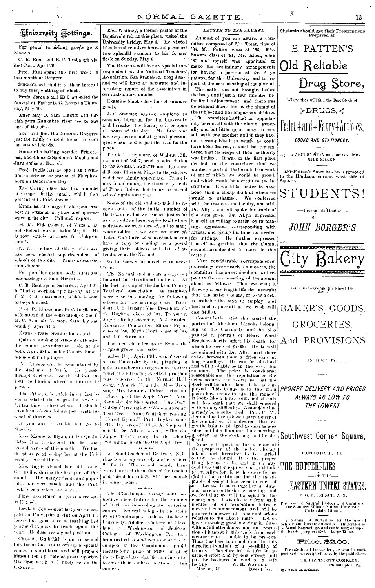### Hniversity Hottings.

For gents' furnishing goods go to Slack's

C. B. Root and E. P. Trobaugh visited Cairo April 26.

Prof. Hull spent the first week in this month at Decatur.

Students will find it to their interest to buy their clothing of Slack.

Profs. Jerome and Hull attended the funcral of Father B. G. Roots on Thursday, May 10.

After May 10 Sam Hewitt will furnish nure Kankakee river ice to any part of the city.

You will find the NORMAL GAZETTE just the thing to send home to your parents or friends.

Hotsford's baking powder, Princess tea, and Chase & Sanborn's Mocha and Java coffee at Evans'.

Prof. Inglis has accepted an invitation to deliver the oration at Murphysboro on Decoration Day.

The Cæsar class has had a model<br>of Cæsar's bridge made, which they presented to Prof. Jorome.

Evans has the largest, cheapest and best assortment of glass and nucensware in the city. Call and inspect.

H. M. Ridenhower, of Vienna, au old student, was a visitor May 9. He is now state's attorney for Johnson county.

"D. W. Lindsay, of this year's class. has heen elected superintendent of schools of this city. This is a deserved compliment.

For pure ice cream, soda water and lemonado go to Sam Hewitt's.

C. B. Root spent Saturday, April 21. in Marion working up a history of the F. M. B. A. movement, which is soon to be published.

Prof. Parkinson and Prof. Inglis and wife attended the convention of the Y M. C. A. at Mt. Vernon. Saturday and Sunday, April 21-2.

Evans' cream bread is fine; try it.

Onite a number of students attended the county examination held at De Soto, April 28th, under County Superintendent Philip Fager

preach.

sue misstated the wages he received Kennedy ca on expression. The Brave for teaching his first school. It should Did-Oak'' receitation, "Woodman Spare sue misstated the wages he received have been cleven dollars per month in . That Tree," Anna Whitaker: reading. sicad of thirtees.

 $\mathbf{Shack}$  .

Miss Mamie Milligan, of Du Quoin. visited Miss Gertie Hull the first and second weeks of this month. We had the pleasure of seeing her at the University several times.

Mrs. Inglis visited her old home. Greenville, during the first part of this miss her very much, and the Prof. looks weary when she is away.

Finest assortment of glass berry sets at Evans'.

Lewis E. Johnson, of last year's class. paid the University a visit on April 17. Lewis had good success teaching last year and expects to teach again this year. He deserves a good position.

Chas, M. Galbrath is not in school this term; but has taken up a special course in short hand and will prepare himself for a private or press reporter. His first work will likely be on the GAZETTE.

Rev. Whitney, a former pastor of the Baptist church at this place, visited the University Friday, May 4. He visited friends and relatives here and preached | two splendid sermons to his former flock on Sunday, May 6.

The GAZETTE will have a special correspondent at the National Teachers' Association, San Francisco, next June. and we will have an accurate and interesting report of the association in our midsummer number.

Examine Slack's fine line of summer goods.

J. C. Storment has been employed as assistant librarian for the University and hereafter the library will be open all hours of the day. Mr. Štomunt is a very accommodating and pleasant gentleman, and is just the man for the place.

Frank L. Carpenter, of Wabut Hill, a student of  $[86]$  7, sends a subscription to the NORMAL GAZETTE and also some delicious Rheinish Mays to the editors. which we highly appreciate. Frank is now found among the strawberry fields of Peach Ridge. but hopes to attend school again next year.

Some of the old students failed to receive copies of the initial number of the GAZETTE, but we reached just as far as we could and sent copies to all whose addresses we were sure of, and to many whose addresses we were not sure of. Those who have been overlooked can | for sittings. He further expressed have a copy by sending us a postal giving their address and date of attendance at the Normal.

Go to Slack's for novelties in neckwear.

The Normal students are always put forward in educational matters. At. the last meeting of the Jackson County Teachers' Association the members were wise in choosing the following officers for the ensuing year: Presideut, J. B. Bundy: Vice President, W. F. Hughes, class of 81; Treasurer, Maggie Kelley (Secretary, A. J. Snyder; Executive Committee. Minnie Fryar, class of '86, Kittie Hord, class of '86, and J. C. Storment.

For nice, clear ice go to Evans, the bargain grocer and baker.

Arbor Day, April 13th, was observed are students of [84.5, [He] passed [90] (or conversity by the planting of the parameters of [84.5, [He] passed [90]) (which in number of evergreen trees, after through Carbondale on the 2d inst, en-[which the following ex song, Mrs. Lansden, Cairo: recitation, The Principal's article in our last is- Planting of the Apple Tree." Anna a talk, Dr. Allyn: octette, "The Old

month. Her many friends and pupils | and taised his salary \$10 per month in consequence.

of 1888, an intercollegiate oratorical contest. Several colleges in the vicinity of Chautanqua, such as Rochester University, Adelbert College, of Cleveland, and Washington and Jefferson Colleges. of Washington, Pa., have been invited to send representatives to compete in the Chattategua amphi-<br>direction to admit of a possibility of<br>the colleges have signified and the direction to admit of a possibility of<br>the colleges have signified and only of the colleges have signified and on compete in the Chautataqua amphi-

LETTER TO THE ALUMNI.

As most of you are aware, a committee composed of Mr. Treat, class of '84, Mr. Fulton, class of '86, Miss Sowers, class of '81, Mr. Allen, class '87 and myself was appointed to make the preliminary arrangements for having a portrait of Dr. Allyn<br>painted for the University and to report at the next meeting of the alumni.

The matter was not brought before the body until just a few minutes befor final adjournment, and there was no general discussion by the alumni of the subject and no comparison of ideas.

The committee has had no opportunity to consult with the alumni generally and but little opportunity to consult with one another and if they have not accomplished as much as could have been desired, it must be remembered that the scope of their authority was limited. It was in the first place decided by the committee that we wanted a portrait that would be a work of art of which we would be proud, and which would be a credit to the institution. It would be better to have none than a cheap daub of which we would be ashamed. We conferred with the trustees, the faculty, and with Dr. Allyn, and all spoke favorably of the enterprise. Dr. Allyn expressed himself as willing to assist by furnishing suggestions, corresponding with artists, and giving his time as needed himself as gratified that the alumni should have decided to move in this matter.

After considerable correspondence. extending over nearly six months, the committee has ascertained and will report to the next meeting of the alumni That we want a about as follows: three-quarters length life-size portrait: that the artist Conant, of New York. is probably the man to employ: and that such a portrait as we wish will cost \$1,000.

Conant is the artist who painted the portrait of Abraham Lincoln belonging to the University and he also painted a portrait of Henry Ward Beecher, shortly before his death, for which he received \$5,000. He is well accounted with Dr. Allyn and there exists between them a friendship of<br>long standing. He can be obtained and will productly be in the west this<br>long standing. He can be obtained<br>standing and will productly be in the sessio statistic scanario and the reputation of the artistic scanario and the reputation of the system of the set as seen to the set of the income of the income of the set of the model of the set of the set of the set of the set

a talk, Dr. Allyn: octette, "The Old Sible, not later than our some meeting.<br>
Naple Tree": song. by the school (Sible, not later than our June meeting.<br>
"Swinging 'neath the Old Apple Tree.") Song. Where that the work may ove reci that we will be equal to the<br>entergoney. A wish to hear from each<br>nember of our association between<br>now and commencement, and will be<br>pleased to answer all communications relative to the above matter. Let us have a rousing good matter. Let us<br>have a rousing good meeting in June<br>with a full attendance, and an expression of interest in this work from each member who is unable to be<br>There has been too much done be present. -this



GROCERIES, And PROVISIONS

 $-15$  THE CITY. $-$ 

PROMPT DELIVERY AND PRICES ALWAYS AS LOW AS THE LOWEST.

Southwest Corner Square,

CARBONDALE, H.L.

THE BUTTERFLIES

### $-$ or the $-$ **EASTERN UNITED STATES.**

BY G. H. FRENCH. A. M.,

ofessor of Natural History and Curator<br>the Southern Hilnois Normal University,<br>Carbondale, Hiinois, Profe

A Manual of Butterflies for the use of Schools and Pirtate-is Huistrated by G3 Wood Engravings, and containing a map of the territory represented. Large 12 mu,

### Price, \$2.00.

 $\hat{Q}_i$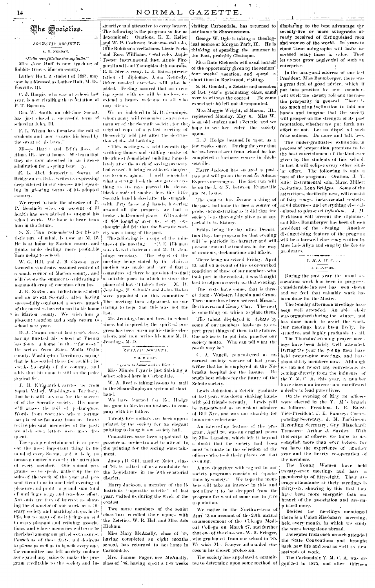## 婴he *G*ocieties.

### SOCRATIC SOCIETY. с. м. моволу.

" Nulla rera felicitas sine sapientia. Miss Jose Huff is now teaching at Rabbits Grove. Marion county.

Luthor Holt, a student of 1883, may tion: he oddrossed as Euther Holt. M. D., § Foxville, Ill.

C. J. Hargis, who was at school last year, is now rivalling the reputation of P. T. Barnuni,

Geo. W. Smith, an old-time Socrat. has just closed a successful term of school at Iuka, Ill.

F. L. Wham has forsaken the rull of students and now means his bread by the sweat of his brow."

Misses Hattie and Edith Ross, of Alma,  $\hat{\Pi}$ U, are at home. We learn that they are now absorbed in an intense adminition for a spring beautily.

E. L. Abel. formerly a Socrat, of Bridgewater, Dak., writes as expressing deep interest in our success and speaking in glowing terms of his adopted, country.

We regret to note the absence of P. P. Goodnow who, on account of ill health has been advised to suspend his school work. We hope to hear from him in the future.

S. N. Finn, remembered for his artistic turn of mind, is now an M. D. He is at home in Marion county, and thinks under dealing more profitable was elected chairman and M. D. Jenthan going to school.

W. G. Hill, and J. B. Gaston Jave formed a syndicate, assumed control of a small corner of Marion county, and will devote the summer to cultivating a manumoth erop of cucumus citrullus.

J. K. Norton, an industrious student i and an ardent Socratic, after baying successfully combatted a severe attack p The meeting then adjourned, no one of the measles, has returned to his home- $\mathbf{a}$  - last the Marion county. We wish him

pleasant vacation and a safe veturn to .<br>sehool next year.

D. J. Cowan, one of last year's class. having finished his school at Vienna has found a home in the "far west-He writes from Estes, Walla Walla county, Washington Territorry, saying that he has settled there for awhile: he speaks favorably of the country, and adds that his name is still on the pedagogical list.

J. H. Kirkpatrick avrites us from<br>Squak Valley, Washington Territory, that he is still anxious for the success of of the Sociatic society. His name still graces the roll of pedagogues. Words from Socratics whom fortune has placed so far away from us always revive pleasant memories of the past; we wish such letters were more frequent.

The spring entertainment is at present the most important thing in the mind of every Socrat, and it is hy no means a matter unworthy the attention of every member. Our annual programs, so to speak, gather un the resalts of the work of the year and present them to us in one brief evening of pleasure and profit - a grand sum total of untiring energy and ceaseless effort. Not only are they of interest as showing the character of our work as a literary society and marking an era in its life, but to many of us it brings an endto many pleasant and refining associations, and whose memories will ever be cherished among our priceless treasures. Conscious of these facts, and desirous to please as well as to benefit every one. the committee has left no duty undone nor spared any pains to make the pro-

structive and attractive to every hearer.  $\vert$ The following is the program so far as determined: Orations, K. E. Keller Land W. P. Cochrau; instrumental solo, Ollie Robinson, regitations, Lizzie Parks and Rose Williams: yogal solo. Annie Teeter: instrumental duet, Annie Fitzgerall and Loui Youngblood; humorous, R. E. Steele; essay, L. E. Baird; presenfation of diplomas, Anna Kennedy. Other musical exercises will also be added. Feeling assured that an evenextend a hearty welcome to all who may attend.

We are indebted to M. D. Jennines. whom many will remember as a zealousmember of the Socratic society, for the  $\iota$ original copy of a called meeting of the society held just after the destruction of the old building.

 $\gamma$  This meeting was held beneath the writhing flames and stiflling smoke of the choost demolished building incordiately after the work of saving property had ceased, it being considered dangerons to enter again. I well remember what a strange look the sun gave everything as its rays pierced the dense. black clouds of smoke: how this little Socratic hand horked after the struggle. with dirty faces and hands, hovering around all the property we had a broken, half-ruined plano. With a debt of \$50 loonging aver us, every one thought and felt that the Socratic Society was a thing of the past."

The following is a copy of the uninattes of the meeting: [19]P. E. Hileman nings secretary. The object of the meeting being stated by the chair, a motion was made and earried that a committee of three be appointed to find a suitable place in which to store the plano and have it taken there.  $M, D.$ Jennings, H. Schmidt and John-Haden were appointed on this committee." daring to hope that this was not the

Mr. Jenniaes has not been in school. since, but inspired by the spirit of pro-1 gress has been pursuing his studies elsewhere, and now writes his name M. D. I : Jennings, M. D.

### ZETETH SOCIETY.

### WAL WALLES.

"Learn to Labor and to Wait."

Miss Minnie Fryar is just finishing a select school here in Carbondale.

W. A. Reef is taking lessons by mail in the Sloan-Duployan system of shorthand.

We have learned that Ed. Hodge has gone to Mexico on business in company with his father.

Twenty-five dollars has been approoriated by the society for an elegant painting to hang in our society hall.

Committees have been appointed to procure an orchestra and to attend to, the printing for the spring entertainment.

Joseph B. Gill, another Zetet., class of '84, is talked of as a candidate for the Legislature in the 50th senatorial district.

Harry Jackson, a member of the illustrious "operatic octette" of last year, visited us during the week of the contest.

Two more members of the senior class have enrolled their names with the Zeteties, W. R. Hall and Miss Ada Hickam.

Miss Mary McAnally, class of '79, having completed an eight months school, has returned to her home in Carbondale.

Mrs. Fannie Fager, nee McAnally, gram creditable to the society and in- class of '86, having spent a few weeks tee to determine upon some method of

her home in Shawneetown.

George W. Ogle is taking a theological course at Morgan Park, Ill. He is thinking of spending the summer in the East, probably Chataqua.

Miss Kate Richards will avail herself of the opportunity given by the seniors' four weeks' vacation, and spend a short time in Rockwood, visiting.

S. H. Goodall, a Zetetic and member ing spent with us will be no loss, we of last year's graduating class, came over to witness the contest. He came expectant: he left not disappointed.

Miss Maggie Wright, of Mason, Ill., registered Monday, May 6. Miss W. is an old student and a Zetetic, and we hope to see her enter the society again.

E. J. Hodge beamed in upon us a few weeks since. During the year that he has been absent from school he has completed a business course in Jacksouville.

Harry Jackson has secured a position and will go on the road as Adams Express messenger. His first run will be on the L. & N. between Evansville and St. Louis.

The contest has become a thing of the past, but none the less a source of pride, demonstrating as it did that the society is as thoroughly alive as at any period in its history.

Friday being the day after Decoration Day, the program for that evening will be patriotic in character and will present nuusual attractions in the way of orations, declamations and music.

There being no school Friday, April 13, and on account of the over-worked condition of those of our members who took part in the contest, it was thought best to adjourn society on that evening.

The busts have come, that is three of them - Webster, Lincoln and Grant. Three more have been ordered, Mozart, Beethoven and Henry Clay. The next is something on which to place them.

The talent displayed in debate by some of our members leads us to expect great things of them in the future. Our advice is to put into practice our society motto. Who can tell what the result may be?

C. A. Vancil, remembered as an earnest society worker of last year. writes that he is employed in the Nebraska hospital for the insane.  $-11e$ sends best wishes for the future of the Zefetie society.

Lewis Johnston, a Zetetic graduate of last year, was down shaking hands with old friends recently. Lewis will be remembered as an ardent admirer of Bill Nye, and was our stand-by for humorous selections.

An interesting feature of the program. April 20, was an original poemby Miss Lansden, which left it beyond a doubt that the society had been most fortunate in the selection of the officers who took their places on that evening.

A new departure with regard to our society programs consists of "quota-<br>tions by society." We hope the members will take an interest in this and not allow it to be dropped from the program for want of some one to give a quotation.

We notice in the Northwestern of April 13 an account of the 29th annual commencement of the Chicago Medical College on March 27, and further that one of the class was W. R. Fringer, who graduated from our school in 185. We wish Mr. Fringer unbounded success in his chosen profession.

The society has appointed a commit-

visiting Carbondale, has returned to displaying to the best advantage the seventy-five or more autographs already received of distinguished men and women of the world. In years to come these autographs will have increased many times in value. Then let us not grow neglectful of such an enterprise.

> In the inaugural address of our last President, Miss Baumberger, there was a great deal of good advice, which if put into practice by our members will swell the society roll and increase the prosperity in general. There is too much of an inclination to fold our hands and imagine that the society will prosper on the strength of its past reputation, whether we put forth any effort or not. Let us dispel all such false notions. Do more and talk less.

> The under-graduates' exhibition in process of preparation, promises to be the best cutertainment of the kind ever given by the students of this school in fact it will eclipse every other similar effort. The following is only a part of the program: Oration, J. T. Ellis: instrumental solo, Maud Miller: recitation. Lena Bridges. Some of the attractions, decidedly new, will consist of fairy songs, instrumental sextetts. anvil choruses and everything else calculated to please ad infinitum, J. M. Parkinson will present the diplomas. and Miss Baumberger has been chosen president of the evening. Another distinguishing feature of the program will be a farewell class song written by Miss Lois Allyn and sung by the Zetetic graduates.

### $Y_\gamma(M,\infty)$ III, $C_\gamma(A)$ А. 4. «ХУБЕК.

During the past year the usual association work has been in progress. Considerable interest has been shown and we feel that valuable work has been done for the Master.

The Sunday afternoon meetings have been well attended. An able choir was organized during the winter, and has done much to assist the work. Our meetings have been lively, instructive, and highly profitable to all.

The Thursday evening prayer meetings have been fairly well attended. Dyring the year the young men have held twenty-nine meetings, and have about thirty members now. Although we can not report any conversions as coming directly from the influence of the Y. M. C. A. this year, a number have shown an interest and manifested a desire to lead purer lives.

On the evening of May 3d officers were elected in the Y. M.'s branch as follows: President, L. E. Baird: Vice-President, J. E. Ramsey: Corresponding Secretary, J. M. Parkinson: Recording Secretary, Guy Blanchard: Treasurer, Arthur J. Snyder. With this corps of officers we hope to accomplish more than ever before, for we have the experience of another year and the hearty co-operation of the members.

The Young Women have held twenty-seven meetings and have a membership of fifty-elect. Their average attendance at their meetings is thirty-six, showing by this that they have been more energetic than our branch of the association and accomplished more.

Besides the meetings mentioned there is a Union Missionary meeting. held every month, in which we study the work being done abroad.

Delegates from each branch attended the State Conventions and brought back new life and zeal as well as new methods of work.

The Carbondale Y. M. C. A. was organized in 1875, and after thirteen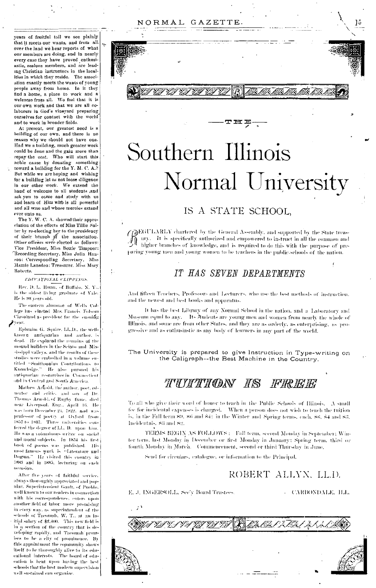NORMAL GAZETTE.

years of fruitful toil we see plainly that it meets our wants, and from all. over the land we hear reports of what our members are doing, and in nearly every case they have proved enthusiastic, zealous members, and are leading Christian instructors in the localities in which they reside. The association exactly meets the wants of youngpeople away from home. In it they find a home, a place to work and a welcome from all. We feel that it is our own work and that we are all colaborers in God's vineyard preparing ourselves for contact with the world and to work in broader fields.

At present, our greatest need is a building of our own, and there is no reason why we should not have one. Had we a building, much greater work could be done and the gain more than repay the cost. Who will start this noble cause by donating something toward a building for the Y. M. C. A. But while we are hoping and wishing for a building let us not loose diligence in our other work. We extend the hand of welcome to all students , and ask you to come and study with us and learn of Him who is all powerful and all wise and whose mercies extend ever unto us.

The Y. W. C. A. showed their appreciation of the efforts of Miss Tillie Salter by re-electing her to the presidency of their branch of the association.<br>Other officers were elected as follows: Vice President, Miss Bettie Timpner: Recording Secretary, Miss Julia Hanson: Corresponding Secretary. M5ss Mamie Lansden: Treasurer, Miss Mary Roberts.

### EDUCATIONAL CLIPPINGS.

Rev. D. L. Huan, of Buffalo, N. Y. is the oldest living graduate of Yale. He is 98 years old.

The eastern aluminat of Wells College has elected Mrs. Francis Folsom Cleveland as president for the ensuing  $\mathbf{z}$ vear.

Ephraim G. Squire, LL.D., the wellknown antiquarian and author, is dead. He explored the remains of the mound builders in the Scioto and Mississippi valleys, and the results of these studies were embodied in a volume entitled "Smithsonian Contributions to Knowledge," He also pursued his autiquarian researches in Connecticut and in Central and South America.

Mathew Arhold, the author, poet, edmator and critic, and son of Dr. Thomas Arnold, of Rugby fame, died near Liverpool. Eng., April 16. He was born December 24, 1822, and was professor of poetry at Oxford from<br>1857-to-1867. Three mulversities conferred the degree of LL. D. upon him. He was a voluntinous writer on social and moral subjects. In 1854 his first  $\begin{minipage}{0.9\linewidth} \hbox{book of poems was published. His most famous work is "Interature and the use of the same.} \hbox{The same time is the same time.} \hbox{The same time is the same time.} \hbox{The same time is the same time.} \hbox{The same time is the same time.} \hbox{The same time is the same time.} \hbox{The same time is the same time.} \hbox{The same time is the same time.} \hbox{The same time is the same time.} \hbox{The same time is the same time.} \hbox{The same time is the same time.} \hbox{The same time is the same time.} \hbox{The same time is the same time.} \hbox{The same time is the same time.} \hbox{The same time is the same time.$ Dogma." He visited this country in 1883 and in 1885, lecturing on each occasion.

After five years of faithful service. always thoroughly appreciated and popular, Superintendent Gault, of Pueblo. well known to our readers in connection with his correspondence, enters upon another field of labor more promising in every way, as superintendent of the schools of Tacomah, W. T., at an initial salary of \$2,400. This new field is in a section of the country that is developing rapidly, and Tacomah promises to be a city of prominence. By this appointment the community shows itself to be thoroughly alive to its educational interests. The board of edueation is bent upon having the best sehools that the best modern supervision well sustained can organize.



15

# Southern Illinois Normal University

エポギ

### IS A STATE SCHOOL.

(BEGULARLY chartered by the General Assembly, and supported by the State treasary. It is specifically authorized and empowered to instruct in all the common and<br>bigher branches of knowledge, and is required to do this with the purpose of preparing young men and young women to be teachers in the public-schools of the nation.

### IT HAS SEVEN DEPARTMENTS

And fifteen Teachers, Professors and Lecturers, who use the best methods of instruction. and the newest and best books and apparatus.

It has the best Library of any Normal School in the nation, and a Laboratory and Museum equal to any. Its students are young men and women from nearly the whole of Illinois, and some are from other States, and they are as orderly, as enterprising, as progressive and as cuthusiastic as any body of learners in any part of the world.

The University is prepared to give Instruction in Type-writing on the Caligraph--the Best Machine in the Country.

### THITTHON IS FREE

To all who give their word of honor to teach in the Public Schools of Illinois. A small fee for incidental expenses is charged. When a person does not wish to teach the tuition is, in the Fall term 89, 86 and 84; in the Winter and Spring terms, each, 86, 84 and 83. Incidentals, 83 and 82.

TERMS BEGIN AS FOLLOWS : Fall term, second Monday in September; Winter term, last Monday in December or first Monday in January; Spring term, third or fourth Monday in March. Commencement, second or third Thursday in June,

Send for circulars, catalogue, or information to the Principal.

ROBERT ALLYN, LL.D.

E. J. INGERSOLL, See'y Board Trustees.

**CARBONDALE, H.L.**